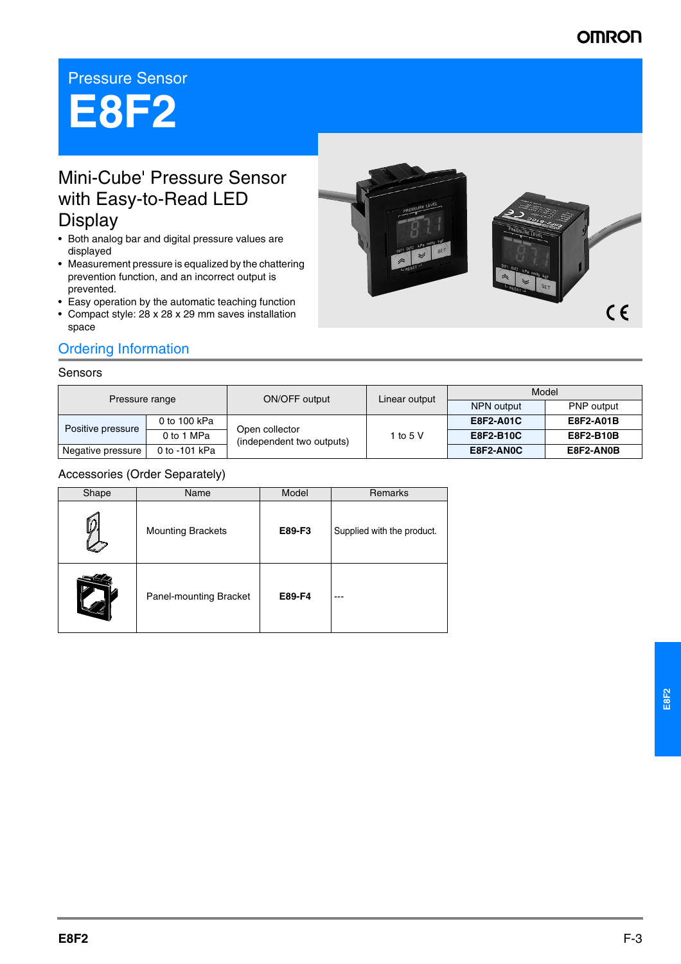# **OMRON**

## Pressure Sensor

# **E8F2**

# Mini-Cube' Pressure Sensor with Easy-to-Read LED **Display**

- Both analog bar and digital pressure values are displayed
- Measurement pressure is equalized by the chattering prevention function, and an incorrect output is prevented.
- Easy operation by the automatic teaching function
- Compact style: 28 x 28 x 29 mm saves installation space

## Ordering Information

#### Sensors

| Pressure range    |               | ON/OFF output                               | Linear output | Model            |            |
|-------------------|---------------|---------------------------------------------|---------------|------------------|------------|
|                   |               |                                             |               | NPN output       | PNP output |
| Positive pressure | 0 to 100 kPa  | Open collector<br>(independent two outputs) | 1 to 5 V      | <b>E8F2-A01C</b> | E8F2-A01B  |
|                   | 0 to 1 MPa    |                                             |               | E8F2-B10C        | E8F2-B10B  |
| Negative pressure | 0 to -101 kPa |                                             |               | E8F2-AN0C        | E8F2-AN0B  |

#### Accessories (Order Separately)

| Shape | Name                     | Model  | Remarks                    |
|-------|--------------------------|--------|----------------------------|
|       | <b>Mounting Brackets</b> | E89-F3 | Supplied with the product. |
|       | Panel-mounting Bracket   | E89-F4 |                            |